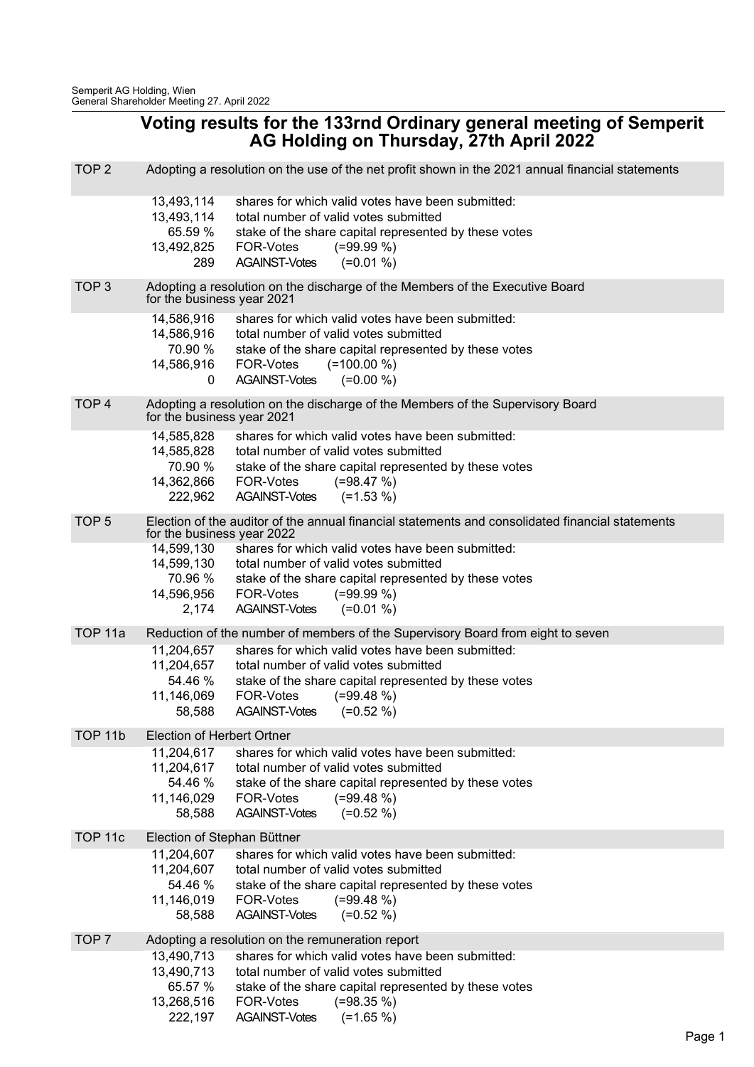## Voting results for the 133rnd Ordinary general meeting of Semperit AG Holding on Thursday, 27th April 2022

| TOP <sub>2</sub>   | Adopting a resolution on the use of the net profit shown in the 2021 annual financial statements           |                                                                                                           |  |  |
|--------------------|------------------------------------------------------------------------------------------------------------|-----------------------------------------------------------------------------------------------------------|--|--|
|                    | 13,493,114                                                                                                 | shares for which valid votes have been submitted:                                                         |  |  |
|                    | 13,493,114                                                                                                 | total number of valid votes submitted                                                                     |  |  |
|                    | 65.59 %<br>13,492,825                                                                                      | stake of the share capital represented by these votes<br>FOR-Votes<br>$(=99.99\%)$                        |  |  |
|                    | 289                                                                                                        | <b>AGAINST-Votes</b><br>$(=0.01\%)$                                                                       |  |  |
| TOP <sub>3</sub>   |                                                                                                            |                                                                                                           |  |  |
|                    | Adopting a resolution on the discharge of the Members of the Executive Board<br>for the business year 2021 |                                                                                                           |  |  |
|                    | 14,586,916<br>14,586,916                                                                                   | shares for which valid votes have been submitted:<br>total number of valid votes submitted                |  |  |
|                    | 70.90 %                                                                                                    | stake of the share capital represented by these votes                                                     |  |  |
|                    | 14,586,916                                                                                                 | FOR-Votes<br>$(=100.00\%)$                                                                                |  |  |
|                    | 0                                                                                                          | $(=0.00\% )$<br><b>AGAINST-Votes</b>                                                                      |  |  |
| TOP <sub>4</sub>   | Adopting a resolution on the discharge of the Members of the Supervisory Board                             |                                                                                                           |  |  |
|                    | for the business year 2021                                                                                 |                                                                                                           |  |  |
|                    | 14,585,828                                                                                                 | shares for which valid votes have been submitted:                                                         |  |  |
|                    | 14,585,828<br>70.90 %                                                                                      | total number of valid votes submitted<br>stake of the share capital represented by these votes            |  |  |
|                    | 14,362,866                                                                                                 | FOR-Votes<br>$(=98.47%)$                                                                                  |  |  |
|                    | 222,962                                                                                                    | $(=1.53\% )$<br><b>AGAINST-Votes</b>                                                                      |  |  |
| TOP <sub>5</sub>   |                                                                                                            | Election of the auditor of the annual financial statements and consolidated financial statements          |  |  |
|                    | for the business year 2022                                                                                 |                                                                                                           |  |  |
|                    | 14,599,130                                                                                                 | shares for which valid votes have been submitted:                                                         |  |  |
|                    | 70.96 %                                                                                                    | 14,599,130 total number of valid votes submitted<br>stake of the share capital represented by these votes |  |  |
|                    | 14,596,956                                                                                                 | FOR-Votes<br>$(=99.99\%)$                                                                                 |  |  |
|                    | 2,174                                                                                                      | $(=0.01\%)$<br><b>AGAINST-Votes</b>                                                                       |  |  |
| TOP <sub>11a</sub> |                                                                                                            | Reduction of the number of members of the Supervisory Board from eight to seven                           |  |  |
|                    | 11,204,657                                                                                                 | shares for which valid votes have been submitted:                                                         |  |  |
|                    | 11,204,657                                                                                                 | total number of valid votes submitted                                                                     |  |  |
|                    | 54.46 %                                                                                                    | stake of the share capital represented by these votes                                                     |  |  |
|                    | 11,146,069                                                                                                 | FOR-Votes<br>$(=99.48\%)$                                                                                 |  |  |
|                    | 58,588                                                                                                     | <b>AGAINST-Votes</b><br>$(=0.52\% )$                                                                      |  |  |
| TOP <sub>11b</sub> | Election of Herbert Ortner                                                                                 |                                                                                                           |  |  |
|                    | 11,204,617                                                                                                 | shares for which valid votes have been submitted:                                                         |  |  |
|                    | 11,204,617<br>54.46 %                                                                                      | total number of valid votes submitted<br>stake of the share capital represented by these votes            |  |  |
|                    | 11,146,029                                                                                                 | $(=99.48\%)$<br><b>FOR-Votes</b>                                                                          |  |  |
|                    | 58,588                                                                                                     | <b>AGAINST-Votes</b><br>$(=0.52\% )$                                                                      |  |  |
| TOP <sub>11c</sub> | Election of Stephan Büttner                                                                                |                                                                                                           |  |  |
|                    | 11,204,607                                                                                                 | shares for which valid votes have been submitted:                                                         |  |  |
|                    | 11,204,607                                                                                                 | total number of valid votes submitted                                                                     |  |  |
|                    | 54.46 %                                                                                                    | stake of the share capital represented by these votes                                                     |  |  |
|                    | 11,146,019<br>58,588                                                                                       | FOR-Votes<br>$(=99.48\%)$<br><b>AGAINST-Votes</b><br>$(=0.52\% )$                                         |  |  |
|                    |                                                                                                            |                                                                                                           |  |  |
| TOP <sub>7</sub>   | 13,490,713                                                                                                 | Adopting a resolution on the remuneration report<br>shares for which valid votes have been submitted:     |  |  |
|                    | 13,490,713                                                                                                 | total number of valid votes submitted                                                                     |  |  |
|                    | 65.57 %                                                                                                    | stake of the share capital represented by these votes                                                     |  |  |
|                    | 13,268,516                                                                                                 | FOR-Votes<br>$(=98.35\%)$                                                                                 |  |  |
|                    | 222,197                                                                                                    | <b>AGAINST-Votes</b><br>$(=1.65\%)$                                                                       |  |  |